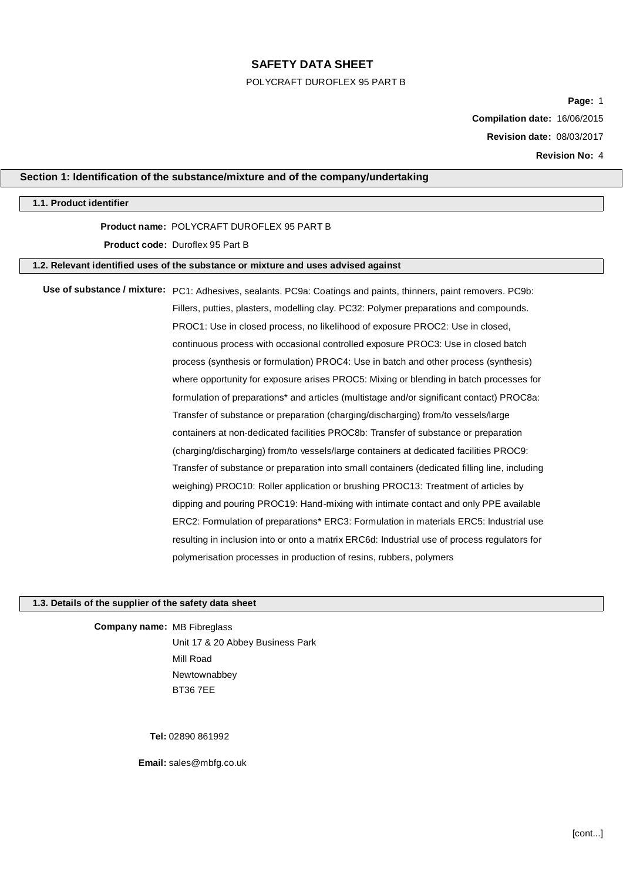#### POLYCRAFT DUROFLEX 95 PART B

**Page:** 1

**Compilation date:** 16/06/2015

**Revision date:** 08/03/2017

**Revision No:** 4

### **Section 1: Identification of the substance/mixture and of the company/undertaking**

### **1.1. Product identifier**

## **Product name:** POLYCRAFT DUROFLEX 95 PART B

### **Product code:** Duroflex 95 Part B

# **1.2. Relevant identified uses of the substance or mixture and uses advised against**

Use of substance / mixture: PC1: Adhesives, sealants. PC9a: Coatings and paints, thinners, paint removers. PC9b: Fillers, putties, plasters, modelling clay. PC32: Polymer preparations and compounds. PROC1: Use in closed process, no likelihood of exposure PROC2: Use in closed, continuous process with occasional controlled exposure PROC3: Use in closed batch process (synthesis or formulation) PROC4: Use in batch and other process (synthesis) where opportunity for exposure arises PROC5: Mixing or blending in batch processes for formulation of preparations\* and articles (multistage and/or significant contact) PROC8a: Transfer of substance or preparation (charging/discharging) from/to vessels/large containers at non-dedicated facilities PROC8b: Transfer of substance or preparation (charging/discharging) from/to vessels/large containers at dedicated facilities PROC9: Transfer of substance or preparation into small containers (dedicated filling line, including weighing) PROC10: Roller application or brushing PROC13: Treatment of articles by dipping and pouring PROC19: Hand-mixing with intimate contact and only PPE available ERC2: Formulation of preparations\* ERC3: Formulation in materials ERC5: Industrial use resulting in inclusion into or onto a matrix ERC6d: Industrial use of process regulators for polymerisation processes in production of resins, rubbers, polymers

### **1.3. Details of the supplier of the safety data sheet**

**Company name:** MB Fibreglass Unit 17 & 20 Abbey Business Park Mill Road Newtownabbey BT36 7EE

**Tel:** 02890 861992

**Email:** sales@mbfg.co.uk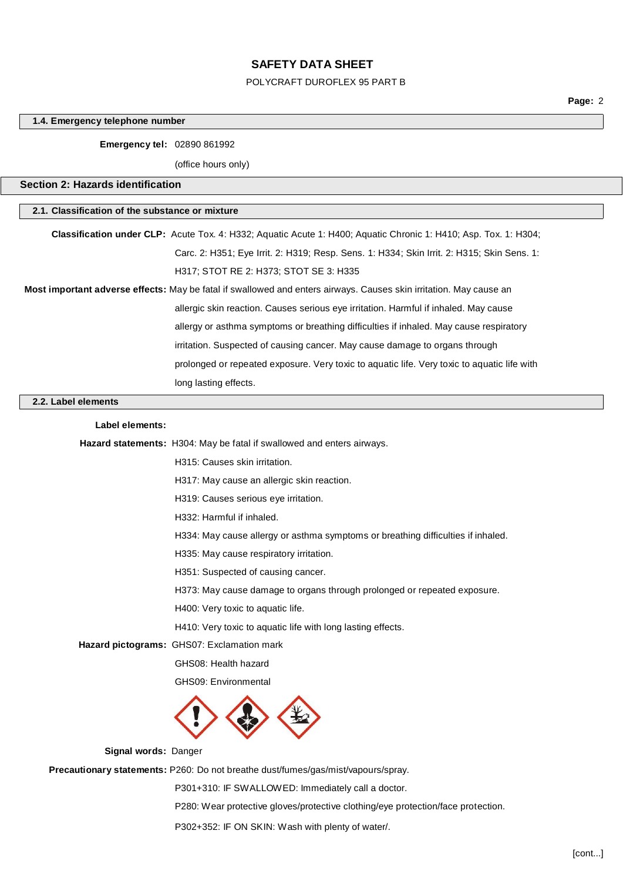# POLYCRAFT DUROFLEX 95 PART B

**Page:** 2

|                                                                                             | 1.4. Emergency telephone number                                                                                    |  |  |  |
|---------------------------------------------------------------------------------------------|--------------------------------------------------------------------------------------------------------------------|--|--|--|
| <b>Emergency tel: 02890 861992</b>                                                          |                                                                                                                    |  |  |  |
|                                                                                             | (office hours only)                                                                                                |  |  |  |
| <b>Section 2: Hazards identification</b>                                                    |                                                                                                                    |  |  |  |
|                                                                                             |                                                                                                                    |  |  |  |
| 2.1. Classification of the substance or mixture                                             |                                                                                                                    |  |  |  |
|                                                                                             | Classification under CLP: Acute Tox. 4: H332; Aquatic Acute 1: H400; Aquatic Chronic 1: H410; Asp. Tox. 1: H304;   |  |  |  |
|                                                                                             | Carc. 2: H351; Eye Irrit. 2: H319; Resp. Sens. 1: H334; Skin Irrit. 2: H315; Skin Sens. 1:                         |  |  |  |
|                                                                                             | H317; STOT RE 2: H373; STOT SE 3: H335                                                                             |  |  |  |
|                                                                                             | Most important adverse effects: May be fatal if swallowed and enters airways. Causes skin irritation. May cause an |  |  |  |
| allergic skin reaction. Causes serious eye irritation. Harmful if inhaled. May cause        |                                                                                                                    |  |  |  |
| allergy or asthma symptoms or breathing difficulties if inhaled. May cause respiratory      |                                                                                                                    |  |  |  |
| irritation. Suspected of causing cancer. May cause damage to organs through                 |                                                                                                                    |  |  |  |
| prolonged or repeated exposure. Very toxic to aquatic life. Very toxic to aquatic life with |                                                                                                                    |  |  |  |
|                                                                                             | long lasting effects.                                                                                              |  |  |  |
| 2.2. Label elements                                                                         |                                                                                                                    |  |  |  |
| Label elements:                                                                             |                                                                                                                    |  |  |  |
|                                                                                             | Hazard statements: H304: May be fatal if swallowed and enters airways.                                             |  |  |  |
|                                                                                             | H315: Causes skin irritation.                                                                                      |  |  |  |
|                                                                                             | H317: May cause an allergic skin reaction.                                                                         |  |  |  |
|                                                                                             | H319: Causes serious eye irritation.                                                                               |  |  |  |
|                                                                                             | H332: Harmful if inhaled.                                                                                          |  |  |  |
|                                                                                             | H334: May cause allergy or asthma symptoms or breathing difficulties if inhaled.                                   |  |  |  |
|                                                                                             | H335: May cause respiratory irritation.                                                                            |  |  |  |
|                                                                                             | H351: Suspected of causing cancer.                                                                                 |  |  |  |
|                                                                                             | H373: May cause damage to organs through prolonged or repeated exposure.                                           |  |  |  |
|                                                                                             | H400: Very toxic to aquatic life.                                                                                  |  |  |  |
|                                                                                             | H410: Very toxic to aquatic life with long lasting effects.                                                        |  |  |  |
|                                                                                             | Hazard pictograms: GHS07: Exclamation mark                                                                         |  |  |  |
|                                                                                             | GHS08: Health hazard                                                                                               |  |  |  |
|                                                                                             | GHS09: Environmental                                                                                               |  |  |  |
|                                                                                             |                                                                                                                    |  |  |  |
| Signal words: Danger                                                                        |                                                                                                                    |  |  |  |
|                                                                                             | Precautionary statements: P260: Do not breathe dust/fumes/gas/mist/vapours/spray.                                  |  |  |  |
|                                                                                             | P301+310: IF SWALLOWED: Immediately call a doctor.                                                                 |  |  |  |

P280: Wear protective gloves/protective clothing/eye protection/face protection.

P302+352: IF ON SKIN: Wash with plenty of water/.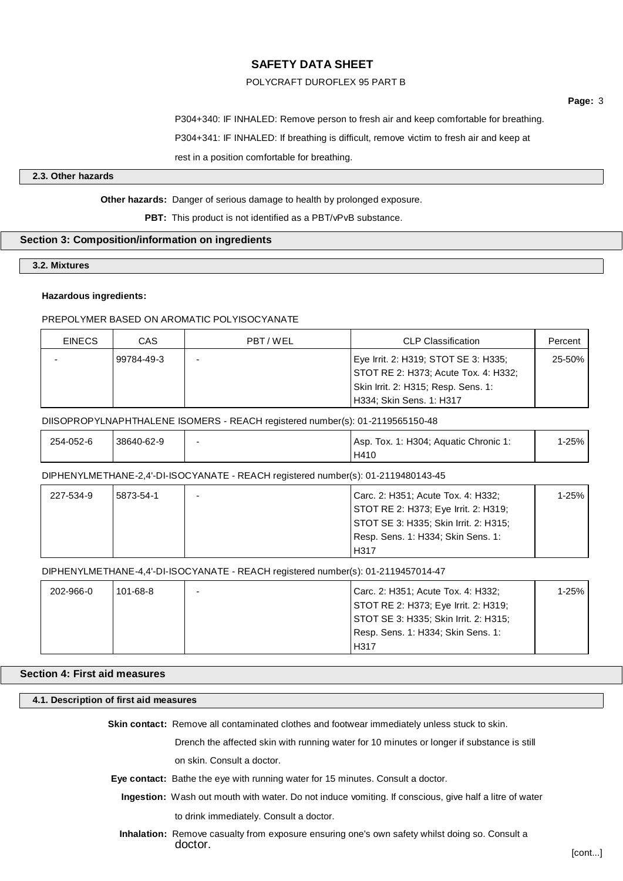### POLYCRAFT DUROFLEX 95 PART B

**Page:** 3

P304+340: IF INHALED: Remove person to fresh air and keep comfortable for breathing. P304+341: IF INHALED: If breathing is difficult, remove victim to fresh air and keep at rest in a position comfortable for breathing.

### **2.3. Other hazards**

# **Other hazards:** Danger of serious damage to health by prolonged exposure.

**PBT:** This product is not identified as a PBT/vPvB substance.

## **Section 3: Composition/information on ingredients**

### **3.2. Mixtures**

#### **Hazardous ingredients:**

### PREPOLYMER BASED ON AROMATIC POLYISOCYANATE

| <b>EINECS</b> | CAS        | PBT/WEL | <b>CLP Classification</b>            | Percent |
|---------------|------------|---------|--------------------------------------|---------|
|               | 99784-49-3 |         | Eye Irrit. 2: H319; STOT SE 3: H335; | 25-50%  |
|               |            |         | STOT RE 2: H373; Acute Tox. 4: H332; |         |
|               |            |         | Skin Irrit. 2: H315; Resp. Sens. 1:  |         |
|               |            |         | H334; Skin Sens. 1: H317             |         |

### DIISOPROPYLNAPHTHALENE ISOMERS - REACH registered number(s): 01-2119565150-48

| 254-052-6 | 38640-62-9 | Asp. Tox. 1: H304; Aquatic Chronic 1: | 1-25% |
|-----------|------------|---------------------------------------|-------|
|           |            | H410                                  |       |

#### DIPHENYLMETHANE-2,4'-DI-ISOCYANATE - REACH registered number(s): 01-2119480143-45

| 227-534-9 | 5873-54-1 | - | Carc. 2: H351; Acute Tox. 4: H332;    | 1-25% l |
|-----------|-----------|---|---------------------------------------|---------|
|           |           |   | STOT RE 2: H373; Eye Irrit. 2: H319;  |         |
|           |           |   | STOT SE 3: H335; Skin Irrit. 2: H315; |         |
|           |           |   | Resp. Sens. 1: H334; Skin Sens. 1:    |         |
|           |           |   | H317                                  |         |

### DIPHENYLMETHANE-4,4'-DI-ISOCYANATE - REACH registered number(s): 01-2119457014-47

| 202-966-0 | $101 - 68 - 8$ | Carc. 2: H351; Acute Tox. 4: H332;    | 1-25% |
|-----------|----------------|---------------------------------------|-------|
|           |                | STOT RE 2: H373; Eye Irrit. 2: H319;  |       |
|           |                | STOT SE 3: H335; Skin Irrit. 2: H315; |       |
|           |                | Resp. Sens. 1: H334; Skin Sens. 1:    |       |
|           |                | H317                                  |       |

# **Section 4: First aid measures**

#### **4.1. Description of first aid measures**

**Skin contact:** Remove all contaminated clothes and footwear immediately unless stuck to skin.

Drench the affected skin with running water for 10 minutes or longer if substance is still

on skin. Consult a doctor.

- **Eye contact:** Bathe the eye with running water for 15 minutes. Consult a doctor.
	- **Ingestion:** Wash out mouth with water. Do not induce vomiting. If conscious, give half a litre of water

to drink immediately. Consult a doctor.

**Inhalation:** Remove casualty from exposure ensuring one's own safety whilst doing so. Consult a doctor.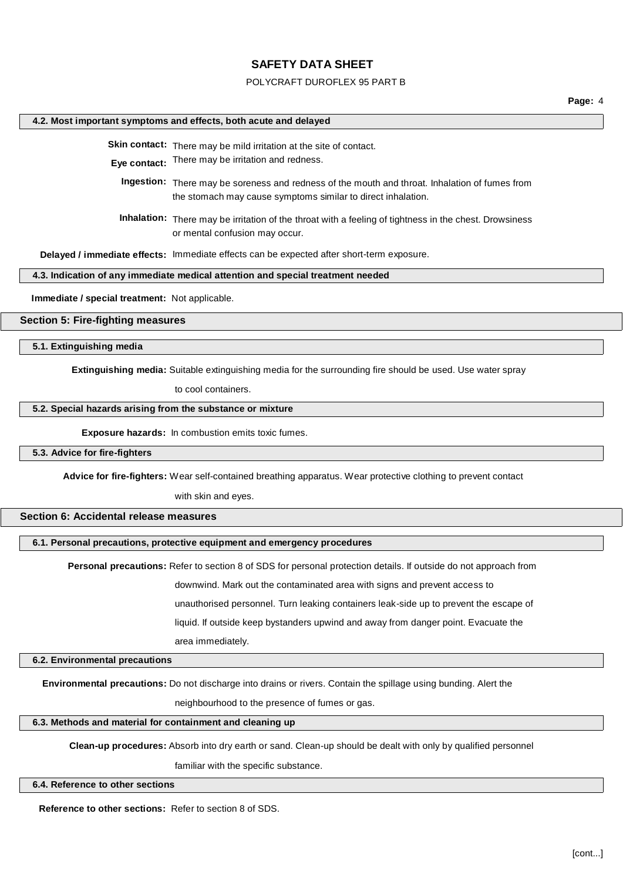#### POLYCRAFT DUROFLEX 95 PART B

**Page:** 4

### **4.2. Most important symptoms and effects, both acute and delayed**

**Skin contact:** There may be mild irritation at the site of contact.

**Eye contact:** There may be irritation and redness.

**Ingestion:** There may be soreness and redness of the mouth and throat. Inhalation of fumes from the stomach may cause symptoms similar to direct inhalation.

**Inhalation:** There may be irritation of the throat with a feeling of tightness in the chest. Drowsiness or mental confusion may occur.

**Delayed / immediate effects:** Immediate effects can be expected after short-term exposure.

#### **4.3. Indication of any immediate medical attention and special treatment needed**

**Immediate / special treatment:** Not applicable.

**Section 5: Fire-fighting measures**

**5.1. Extinguishing media**

**Extinguishing media:** Suitable extinguishing media for the surrounding fire should be used. Use water spray

to cool containers.

#### **5.2. Special hazards arising from the substance or mixture**

**Exposure hazards:** In combustion emits toxic fumes.

### **5.3. Advice for fire-fighters**

**Advice for fire-fighters:** Wear self-contained breathing apparatus. Wear protective clothing to prevent contact

with skin and eyes.

### **Section 6: Accidental release measures**

**6.1. Personal precautions, protective equipment and emergency procedures**

**Personal precautions:** Refer to section 8 of SDS for personal protection details. If outside do not approach from

downwind. Mark out the contaminated area with signs and prevent access to

unauthorised personnel. Turn leaking containers leak-side up to prevent the escape of

liquid. If outside keep bystanders upwind and away from danger point. Evacuate the

area immediately.

#### **6.2. Environmental precautions**

**Environmental precautions:** Do not discharge into drains or rivers. Contain the spillage using bunding. Alert the

neighbourhood to the presence of fumes or gas.

#### **6.3. Methods and material for containment and cleaning up**

**Clean-up procedures:** Absorb into dry earth or sand. Clean-up should be dealt with only by qualified personnel

familiar with the specific substance.

#### **6.4. Reference to other sections**

**Reference to other sections:** Refer to section 8 of SDS.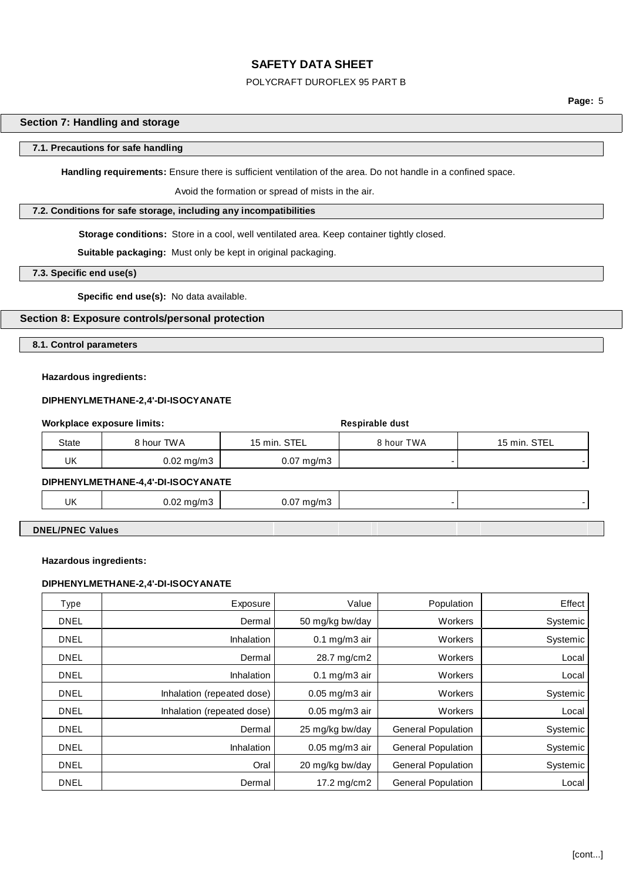### POLYCRAFT DUROFLEX 95 PART B

**Page:** 5

### **Section 7: Handling and storage**

#### **7.1. Precautions for safe handling**

**Handling requirements:** Ensure there is sufficient ventilation of the area. Do not handle in a confined space.

Avoid the formation or spread of mists in the air.

### **7.2. Conditions for safe storage, including any incompatibilities**

**Storage conditions:** Store in a cool, well ventilated area. Keep container tightly closed.

**Suitable packaging:** Must only be kept in original packaging.

**7.3. Specific end use(s)**

**Specific end use(s):** No data available.

# **Section 8: Exposure controls/personal protection**

**8.1. Control parameters**

### **Hazardous ingredients:**

#### **DIPHENYLMETHANE-2,4'-DI-ISOCYANATE**

| Workplace exposure limits: |                         | Respirable dust         |            |              |
|----------------------------|-------------------------|-------------------------|------------|--------------|
| State                      | 8 hour TWA              | 15 min. STEL            | 8 hour TWA | 15 min. STEL |
| UK                         | $0.02 \,\mathrm{mg/m3}$ | $0.07 \,\mathrm{mg/m3}$ | -          |              |
|                            |                         |                         |            |              |

# **DIPHENYLMETHANE-4,4'-DI-ISOCYANATE**

| UK | ററ<br>mg/m3<br><b>U.UZ II</b><br>÷ | 0.07 <sub>h</sub><br>mq/m3<br>$\sim$<br>$-1$ |  |
|----|------------------------------------|----------------------------------------------|--|
|    |                                    |                                              |  |

**DNEL/PNEC Values**

#### **Hazardous ingredients:**

#### **DIPHENYLMETHANE-2,4'-DI-ISOCYANATE**

| Type        | Exposure                   | Value               | Population                | Effect   |
|-------------|----------------------------|---------------------|---------------------------|----------|
| <b>DNEL</b> | Dermal                     | 50 mg/kg bw/day     | Workers                   | Systemic |
| <b>DNEL</b> | Inhalation                 | $0.1$ mg/m $3$ air  | Workers                   | Systemic |
| <b>DNEL</b> | Dermal                     | 28.7 mg/cm2         | Workers                   | Local    |
| <b>DNEL</b> | Inhalation                 | $0.1$ mg/m $3$ air  | Workers                   | Local    |
| <b>DNEL</b> | Inhalation (repeated dose) | $0.05$ mg/m $3$ air | Workers                   | Systemic |
| <b>DNEL</b> | Inhalation (repeated dose) | $0.05$ mg/m $3$ air | Workers                   | Local    |
| <b>DNEL</b> | Dermal                     | 25 mg/kg bw/day     | <b>General Population</b> | Systemic |
| <b>DNEL</b> | <b>Inhalation</b>          | $0.05$ mg/m3 air    | <b>General Population</b> | Systemic |
| <b>DNEL</b> | Oral                       | 20 mg/kg bw/day     | <b>General Population</b> | Systemic |
| <b>DNEL</b> | Dermal                     | 17.2 mg/cm2         | <b>General Population</b> | Local    |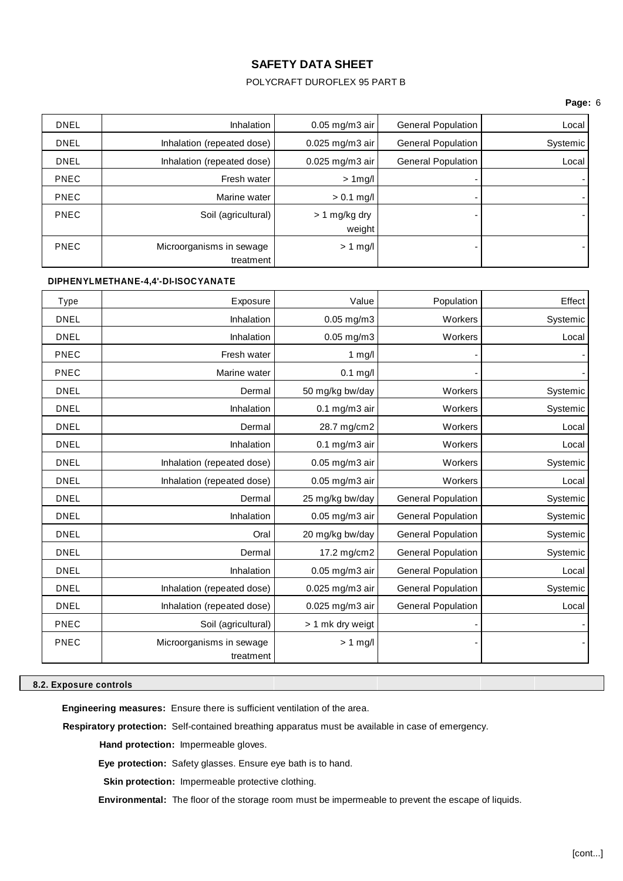### POLYCRAFT DUROFLEX 95 PART B

### **Page:** 6

| <b>DNEL</b> | <b>Inhalation</b>                     | $0.05$ mg/m3 air          | General Population        | Local    |
|-------------|---------------------------------------|---------------------------|---------------------------|----------|
| <b>DNEL</b> | Inhalation (repeated dose)            | $0.025$ mg/m3 air         | <b>General Population</b> | Systemic |
| <b>DNEL</b> | Inhalation (repeated dose)            | $0.025$ mg/m3 air         | <b>General Population</b> | Local    |
| <b>PNEC</b> | Fresh water                           | $> 1$ mg/l                | $\overline{\phantom{0}}$  |          |
| <b>PNEC</b> | Marine water                          | $> 0.1$ mg/l              |                           |          |
| <b>PNEC</b> | Soil (agricultural)                   | $> 1$ mg/kg dry<br>weight |                           |          |
| <b>PNEC</b> | Microorganisms in sewage<br>treatment | $> 1$ mg/l                |                           |          |

### **DIPHENYLMETHANE-4,4'-DI-ISOCYANATE**

| <b>Type</b> | Exposure                              | Value              | Population                | Effect   |
|-------------|---------------------------------------|--------------------|---------------------------|----------|
| <b>DNEL</b> | Inhalation                            | $0.05$ mg/m $3$    | Workers                   | Systemic |
| <b>DNEL</b> | Inhalation                            | $0.05$ mg/m $3$    | Workers                   | Local    |
| PNEC        | Fresh water                           | $1$ mg/l           |                           |          |
| PNEC        | Marine water                          | $0.1$ mg/l         |                           |          |
| <b>DNEL</b> | Dermal                                | 50 mg/kg bw/day    | Workers                   | Systemic |
| <b>DNEL</b> | Inhalation                            | $0.1$ mg/m $3$ air | Workers                   | Systemic |
| <b>DNEL</b> | Dermal                                | 28.7 mg/cm2        | Workers                   | Local    |
| <b>DNEL</b> | Inhalation                            | $0.1$ mg/m $3$ air | Workers                   | Local    |
| <b>DNEL</b> | Inhalation (repeated dose)            | 0.05 mg/m3 air     | Workers                   | Systemic |
| <b>DNEL</b> | Inhalation (repeated dose)            | 0.05 mg/m3 air     | Workers                   | Local    |
| <b>DNEL</b> | Dermal                                | 25 mg/kg bw/day    | <b>General Population</b> | Systemic |
| <b>DNEL</b> | Inhalation                            | 0.05 mg/m3 air     | <b>General Population</b> | Systemic |
| <b>DNEL</b> | Oral                                  | 20 mg/kg bw/day    | <b>General Population</b> | Systemic |
| <b>DNEL</b> | Dermal                                | 17.2 mg/cm2        | <b>General Population</b> | Systemic |
| <b>DNEL</b> | Inhalation                            | 0.05 mg/m3 air     | <b>General Population</b> | Local    |
| <b>DNEL</b> | Inhalation (repeated dose)            | 0.025 mg/m3 air    | <b>General Population</b> | Systemic |
| <b>DNEL</b> | Inhalation (repeated dose)            | 0.025 mg/m3 air    | <b>General Population</b> | Local    |
| PNEC        | Soil (agricultural)                   | > 1 mk dry weigt   |                           |          |
| PNEC        | Microorganisms in sewage<br>treatment | $> 1$ mg/l         |                           |          |

### **8.2. Exposure controls**

**Engineering measures:** Ensure there is sufficient ventilation of the area.

**Respiratory protection:** Self-contained breathing apparatus must be available in case of emergency.

**Hand protection:** Impermeable gloves.

**Eye protection:** Safety glasses. Ensure eye bath is to hand.

**Skin protection:** Impermeable protective clothing.

**Environmental:** The floor of the storage room must be impermeable to prevent the escape of liquids.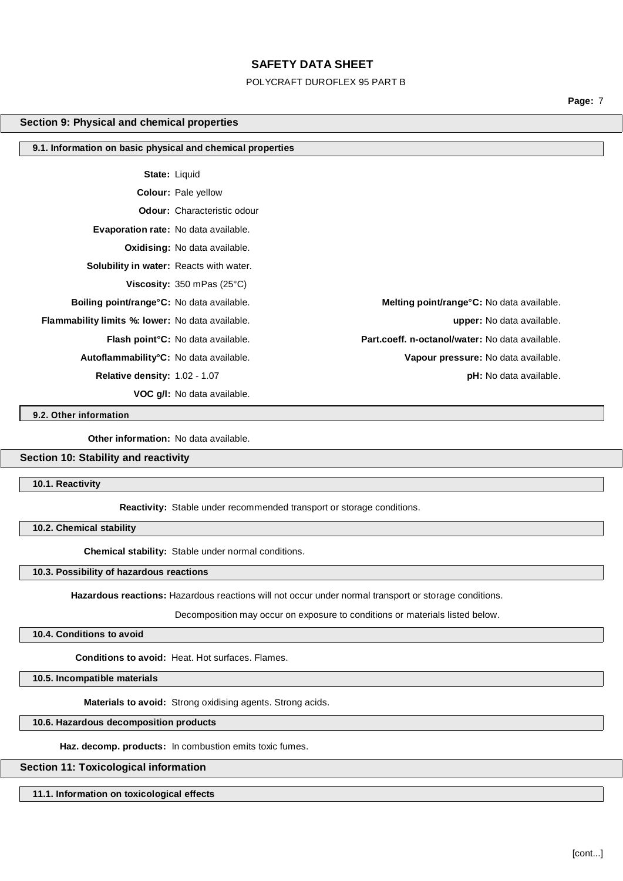#### POLYCRAFT DUROFLEX 95 PART B

**Page:** 7

#### **Section 9: Physical and chemical properties**

#### **9.1. Information on basic physical and chemical properties**

**State:** Liquid

**Colour:** Pale yellow

**Odour:** Characteristic odour

**Evaporation rate:** No data available.

**Oxidising:** No data available.

**Solubility in water:** Reacts with water.

**Viscosity:** 350 mPas (25°C)

**VOC g/l:** No data available.

**9.2. Other information**

**Other information:** No data available.

## **Section 10: Stability and reactivity**

**10.1. Reactivity**

**Reactivity:** Stable under recommended transport or storage conditions.

**10.2. Chemical stability**

**Chemical stability:** Stable under normal conditions.

# **10.3. Possibility of hazardous reactions**

**Hazardous reactions:** Hazardous reactions will not occur under normal transport or storage conditions.

Decomposition may occur on exposure to conditions or materials listed below.

#### **10.4. Conditions to avoid**

**Conditions to avoid:** Heat. Hot surfaces. Flames.

**10.5. Incompatible materials**

**Materials to avoid:** Strong oxidising agents. Strong acids.

**10.6. Hazardous decomposition products**

**Haz. decomp. products:** In combustion emits toxic fumes.

#### **Section 11: Toxicological information**

**11.1. Information on toxicological effects**

**Boiling point/range°C:** No data available. **Melting point/range°C:** No data available. **Flammability limits %: lower:** No data available. **upper:** No data available. **Flash point°C:** No data available. **Part.coeff. n-octanol/water:** No data available. **Autoflammability°C:** No data available. **Vapour pressure:** No data available. **Relative density:** 1.02 - 1.07 **pH:** No data available.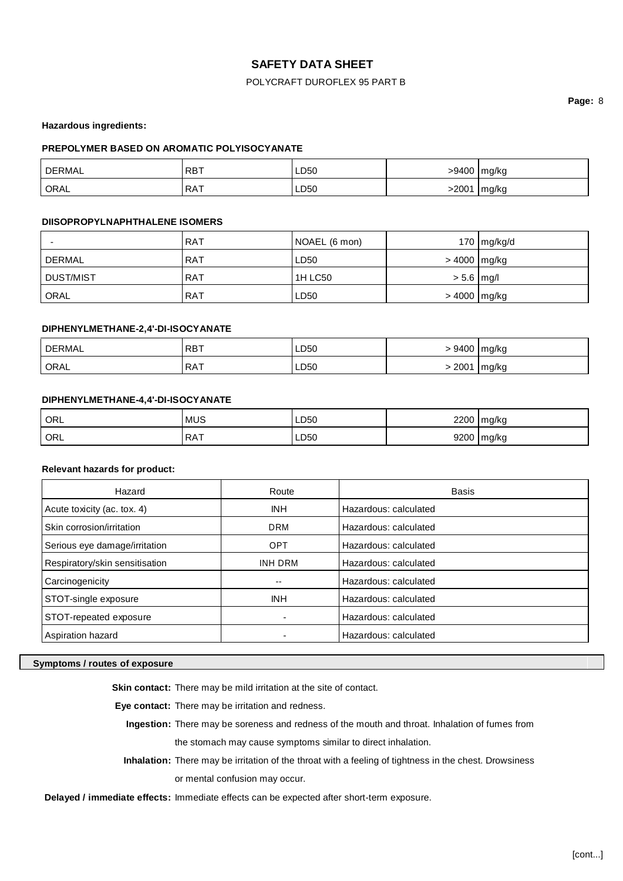## POLYCRAFT DUROFLEX 95 PART B

**Page:** 8

**Hazardous ingredients:**

### **PREPOLYMER BASED ON AROMATIC POLYISOCYANATE**

| <b>DERMAL</b> | <b>RBT</b> | LD <sub>50</sub> |       | >9400 mg/kg |
|---------------|------------|------------------|-------|-------------|
| ORAL          | RAT        | <b>LD50</b>      | -2001 | mg/kg       |

### **DIISOPROPYLNAPHTHALENE ISOMERS**

|             | <b>RAT</b> | NOAEL (6 mon) |                | 170   mg/kg/d |
|-------------|------------|---------------|----------------|---------------|
| DERMAL      | <b>RAT</b> | LD50          | > 4000 mg/kg   |               |
| DUST/MIST   | <b>RAT</b> | 1H LC50       | $> 5.6$   mg/l |               |
| <b>ORAL</b> | <b>RAT</b> | LD50          | > 4000 mg/kg   |               |

### **DIPHENYLMETHANE-2,4'-DI-ISOCYANATE**

| DERMAL | <b>RBT</b> | LD50 | 9400 | mg/kg |
|--------|------------|------|------|-------|
| ORAL   | <b>RAT</b> | LD50 | 2001 | mg/kg |

### **DIPHENYLMETHANE-4,4'-DI-ISOCYANATE**

| ORL | <b>MUS</b> | LD50 | 2200 | Imq/ka |
|-----|------------|------|------|--------|
| ORL | RAT        | LD50 | 9200 | mg/kg  |

#### **Relevant hazards for product:**

| Hazard                         | Route          | <b>Basis</b>          |
|--------------------------------|----------------|-----------------------|
| Acute toxicity (ac. tox. 4)    | <b>INH</b>     | Hazardous: calculated |
| Skin corrosion/irritation      | <b>DRM</b>     | Hazardous: calculated |
| Serious eye damage/irritation  | <b>OPT</b>     | Hazardous: calculated |
| Respiratory/skin sensitisation | <b>INH DRM</b> | Hazardous: calculated |
| Carcinogenicity                | --             | Hazardous: calculated |
| STOT-single exposure           | <b>INH</b>     | Hazardous: calculated |
| STOT-repeated exposure         | -              | Hazardous: calculated |
| Aspiration hazard              |                | Hazardous: calculated |

#### **Symptoms / routes of exposure**

**Skin contact:** There may be mild irritation at the site of contact.

**Eye contact:** There may be irritation and redness.

**Ingestion:** There may be soreness and redness of the mouth and throat. Inhalation of fumes from the stomach may cause symptoms similar to direct inhalation.

**Inhalation:** There may be irritation of the throat with a feeling of tightness in the chest. Drowsiness

or mental confusion may occur.

**Delayed / immediate effects:** Immediate effects can be expected after short-term exposure.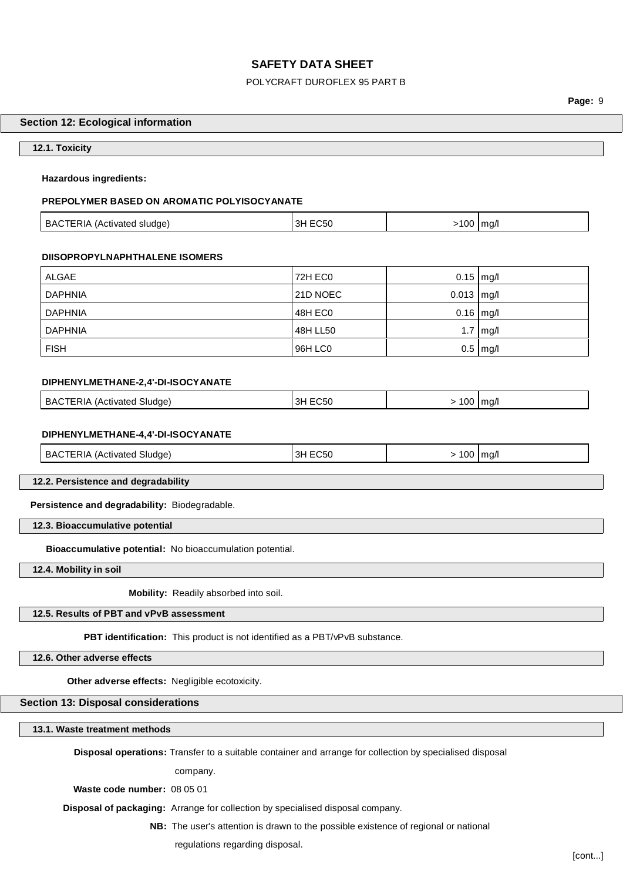#### POLYCRAFT DUROFLEX 95 PART B

**Page:** 9

### **Section 12: Ecological information**

#### **12.1. Toxicity**

#### **Hazardous ingredients:**

### **PREPOLYMER BASED ON AROMATIC POLYISOCYANATE**

| BACTERIA (Activated sludge) | 3H EC50 | >100 mg/l |  |
|-----------------------------|---------|-----------|--|
|-----------------------------|---------|-----------|--|

#### **DIISOPROPYLNAPHTHALENE ISOMERS**

| ALGAE          | 72H EC0  | $0.15$ mg/l          |            |
|----------------|----------|----------------------|------------|
| <b>DAPHNIA</b> | 21D NOEC | $0.013$ $\vert$ mg/l |            |
| <b>DAPHNIA</b> | 48H EC0  | $0.16$ mg/l          |            |
| <b>DAPHNIA</b> | 48H LL50 |                      | $1.7$ mg/l |
| <b>FISH</b>    | 96H LC0  |                      | $0.5$ mg/l |

#### **DIPHENYLMETHANE-2,4'-DI-ISOCYANATE**

| <b>BAC</b><br>l Sludae`<br>ATERIA<br>(Activated | - - - -<br>:C50<br>- 3F | 100 | l ma/l |
|-------------------------------------------------|-------------------------|-----|--------|
|                                                 |                         |     |        |

#### **DIPHENYLMETHANE-4,4'-DI-ISOCYANATE**

| BACTERIA<br>100 <sub>1</sub><br>(Activated Sludge)<br>3H E(<br>ma/<br>.U5U<br>. |
|---------------------------------------------------------------------------------|
|---------------------------------------------------------------------------------|

**12.2. Persistence and degradability**

**Persistence and degradability:** Biodegradable.

**12.3. Bioaccumulative potential**

**Bioaccumulative potential:** No bioaccumulation potential.

**12.4. Mobility in soil**

**Mobility:** Readily absorbed into soil.

**12.5. Results of PBT and vPvB assessment**

**PBT identification:** This product is not identified as a PBT/vPvB substance.

**12.6. Other adverse effects**

**Other adverse effects:** Negligible ecotoxicity.

# **Section 13: Disposal considerations**

**13.1. Waste treatment methods**

**Disposal operations:** Transfer to a suitable container and arrange for collection by specialised disposal

company.

**Waste code number:** 08 05 01

**Disposal of packaging:** Arrange for collection by specialised disposal company.

**NB:** The user's attention is drawn to the possible existence of regional or national

regulations regarding disposal.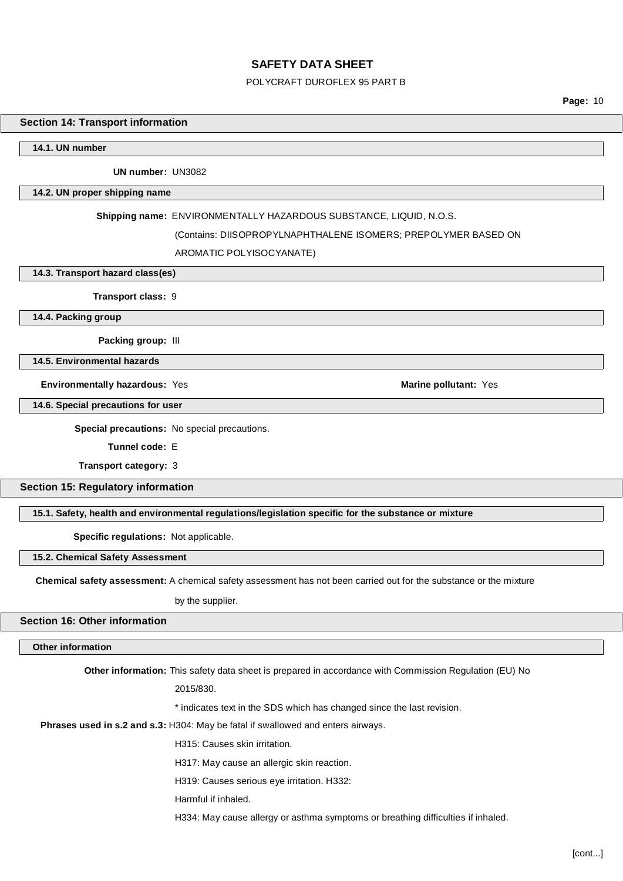#### POLYCRAFT DUROFLEX 95 PART B

**Page:** 10

### **Section 14: Transport information**

**14.1. UN number**

**UN number:** UN3082

#### **14.2. UN proper shipping name**

### **Shipping name:** ENVIRONMENTALLY HAZARDOUS SUBSTANCE, LIQUID, N.O.S.

#### (Contains: DIISOPROPYLNAPHTHALENE ISOMERS; PREPOLYMER BASED ON

#### AROMATIC POLYISOCYANATE)

**14.3. Transport hazard class(es)**

**Transport class:** 9

**14.4. Packing group**

**Packing group:** III

**14.5. Environmental hazards**

**Environmentally hazardous: Yes <b>Marine pollutant: Yes Marine pollutant: Yes Marine pollutant: Yes** 

**14.6. Special precautions for user**

**Special precautions:** No special precautions.

**Tunnel code:** E

**Transport category:** 3

**Section 15: Regulatory information**

**15.1. Safety, health and environmental regulations/legislation specific for the substance or mixture**

**Specific regulations:** Not applicable.

**15.2. Chemical Safety Assessment**

**Chemical safety assessment:** A chemical safety assessment has not been carried out for the substance or the mixture

by the supplier.

### **Section 16: Other information**

### **Other information**

**Other information:** This safety data sheet is prepared in accordance with Commission Regulation (EU) No

2015/830.

\* indicates text in the SDS which has changed since the last revision.

**Phrases used in s.2 and s.3:** H304: May be fatal if swallowed and enters airways.

H315: Causes skin irritation.

H317: May cause an allergic skin reaction.

H319: Causes serious eye irritation. H332:

Harmful if inhaled.

H334: May cause allergy or asthma symptoms or breathing difficulties if inhaled.

[cont...]